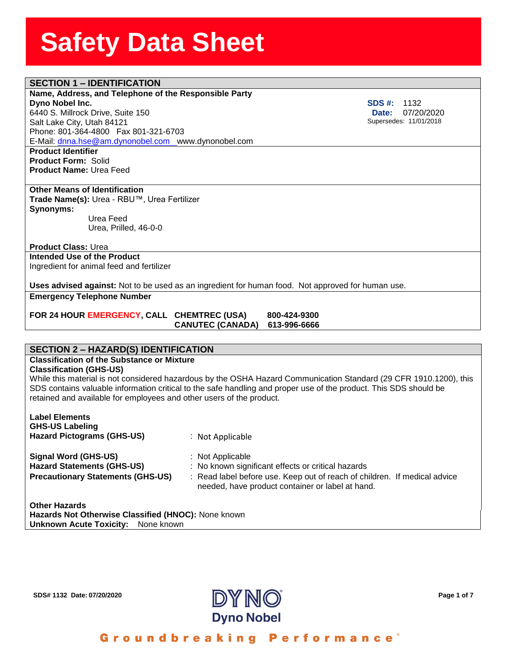## **SECTION 1 – IDENTIFICATION**

#### **Name, Address, and Telephon**<br>**Dyno Nobel Inc.**<br>6440 S. Millrock Drive, Suite 150 **Name, Address, and Telephone of the Responsible Party Dyno Nobel Inc.**

Salt Lake City, Utah 84121 Phone: 801-364-4800 Fax 801-321-6703 E-Mail: [dnna.hse@am.dynonobel.com](mailto:dnna.hse@am.dynonobel.com) www.dynonobel.com

**Product Identifier Product Form:** Solid **Product Name:** Urea Feed

#### **Other Means of Identification**

**Trade Name(s):** Urea - RBU™, Urea Fertilizer **Synonyms:**  Urea Feed

Urea, Prilled, 46-0-0

#### **Product Class:** Urea

**Intended Use of the Product** Ingredient for animal feed and fertilizer

**Uses advised against:** Not to be used as an ingredient for human food. Not approved for human use.

**Emergency Telephone Number**

**FOR 24 HOUR EMERGENCY, CALL CHEMTREC (USA) 800-424-9300 CANUTEC (CANADA) 613-996-6666**

#### **SECTION 2 – HAZARD(S) IDENTIFICATION**

### **Classification of the Substance or Mixture**

**Classification (GHS-US)**

While this material is not considered hazardous by the OSHA Hazard Communication Standard (29 CFR 1910.1200), this SDS contains valuable information critical to the safe handling and proper use of the product. This SDS should be retained and available for employees and other users of the product.

| <b>Label Elements</b><br><b>GHS-US Labeling</b><br><b>Hazard Pictograms (GHS-US)</b>                  | : Not Applicable                                                                                                                                                                                        |
|-------------------------------------------------------------------------------------------------------|---------------------------------------------------------------------------------------------------------------------------------------------------------------------------------------------------------|
| Signal Word (GHS-US)<br><b>Hazard Statements (GHS-US)</b><br><b>Precautionary Statements (GHS-US)</b> | : Not Applicable<br>: No known significant effects or critical hazards<br>: Read label before use. Keep out of reach of children. If medical advice<br>needed, have product container or label at hand. |
| Other Heresda                                                                                         |                                                                                                                                                                                                         |

**Other Hazards Hazards Not Otherwise Classified (HNOC):** None known **Unknown Acute Toxicity: None known** 



Groundbreaking Performance<sup>®</sup>

**SDS #:** 1132  **Date:** 07/20/2020 Supersedes: 11/01/2018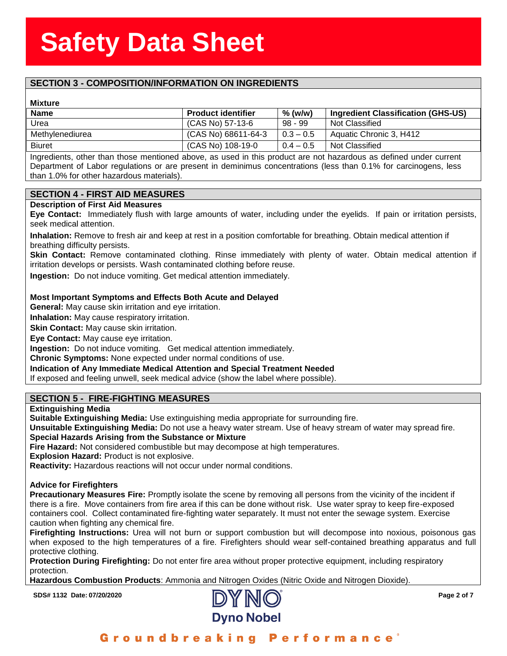### **SECTION 3 - COMPOSITION/INFORMATION ON INGREDIENTS**

#### **Mixture**

| <b>Mixture</b>  |                           |             |                                    |
|-----------------|---------------------------|-------------|------------------------------------|
| <b>Name</b>     | <b>Product identifier</b> | % (w/w)     | Ingredient Classification (GHS-US) |
| Urea            | (CAS No) 57-13-6          | $98 - 99$   | Not Classified                     |
| Methylenediurea | (CAS No) 68611-64-3       | $0.3 - 0.5$ | Aquatic Chronic 3, H412            |
| <b>Biuret</b>   | (CAS No) 108-19-0         | $0.4 - 0.5$ | Not Classified                     |

Ingredients, other than those mentioned above, as used in this product are not hazardous as defined under current Department of Labor regulations or are present in deminimus concentrations (less than 0.1% for carcinogens, less than 1.0% for other hazardous materials).

#### **SECTION 4 - FIRST AID MEASURES**

#### **Description of First Aid Measures**

**Eye Contact:** Immediately flush with large amounts of water, including under the eyelids. If pain or irritation persists, seek medical attention.

**Inhalation:** Remove to fresh air and keep at rest in a position comfortable for breathing. Obtain medical attention if breathing difficulty persists.

**Skin Contact:** Remove contaminated clothing. Rinse immediately with plenty of water. Obtain medical attention if irritation develops or persists. Wash contaminated clothing before reuse.

**Ingestion:** Do not induce vomiting. Get medical attention immediately.

#### **Most Important Symptoms and Effects Both Acute and Delayed**

**General:** May cause skin irritation and eye irritation.

**Inhalation:** May cause respiratory irritation.

**Skin Contact:** May cause skin irritation.

**Eye Contact:** May cause eye irritation.

**Ingestion:** Do not induce vomiting. Get medical attention immediately.

**Chronic Symptoms:** None expected under normal conditions of use.

**Indication of Any Immediate Medical Attention and Special Treatment Needed**

If exposed and feeling unwell, seek medical advice (show the label where possible).

#### **SECTION 5 - FIRE-FIGHTING MEASURES**

#### **Extinguishing Media**

**Suitable Extinguishing Media:** Use extinguishing media appropriate for surrounding fire.

**Unsuitable Extinguishing Media:** Do not use a heavy water stream. Use of heavy stream of water may spread fire. **Special Hazards Arising from the Substance or Mixture**

**Fire Hazard:** Not considered combustible but may decompose at high temperatures.

**Explosion Hazard:** Product is not explosive.

**Reactivity:** Hazardous reactions will not occur under normal conditions.

#### **Advice for Firefighters**

**Precautionary Measures Fire:** Promptly isolate the scene by removing all persons from the vicinity of the incident if there is a fire. Move containers from fire area if this can be done without risk. Use water spray to keep fire-exposed containers cool. Collect contaminated fire-fighting water separately. It must not enter the sewage system. Exercise caution when fighting any chemical fire.

**Firefighting Instructions:** Urea will not burn or support combustion but will decompose into noxious, poisonous gas when exposed to the high temperatures of a fire. Firefighters should wear self-contained breathing apparatus and full protective clothing.

**Protection During Firefighting:** Do not enter fire area without proper protective equipment, including respiratory protection.

**Hazardous Combustion Products**: Ammonia and Nitrogen Oxides (Nitric Oxide and Nitrogen Dioxide).

**SDS# 1132 Date: 07/20/2020 Page 2 of 7**



Groundbreaking **Performance**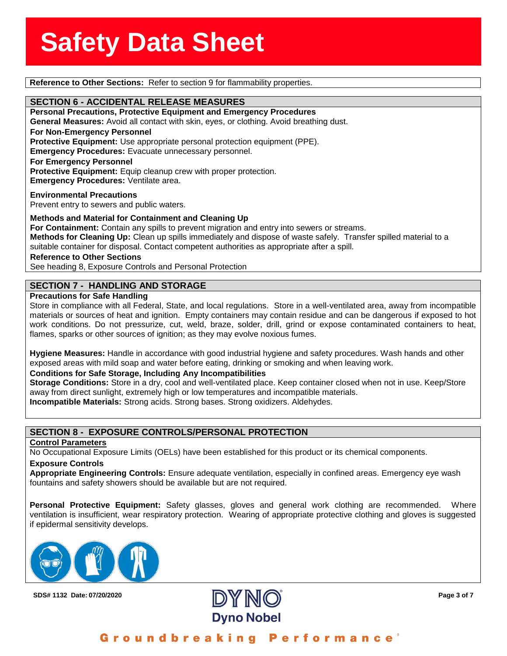**Reference to Other Sections:** Refer to section 9 for flammability properties.

**SECTION 6 - ACCIDENTAL RELEASE MEASURES**<br>Personal Precautions, Protective Equipment and Emerg **Personal Precautions, Protective Equipment and Emergency Procedures General Measures:** Avoid all contact with skin, eyes, or clothing. Avoid breathing dust. **For Non-Emergency Personnel Protective Equipment:** Use appropriate personal protection equipment (PPE). **Emergency Procedures:** Evacuate unnecessary personnel. **For Emergency Personnel** Protective Equipment: Equip cleanup crew with proper protection. **Emergency Procedures:** Ventilate area.

**Environmental Precautions** Prevent entry to sewers and public waters.

**Methods and Material for Containment and Cleaning Up**

**For Containment:** Contain any spills to prevent migration and entry into sewers or streams. **Methods for Cleaning Up:** Clean up spills immediately and dispose of waste safely. Transfer spilled material to a suitable container for disposal. Contact competent authorities as appropriate after a spill.

**Reference to Other Sections**

See heading 8, Exposure Controls and Personal Protection

#### **SECTION 7 - HANDLING AND STORAGE**

#### **Precautions for Safe Handling**

Store in compliance with all Federal, State, and local regulations. Store in a well-ventilated area, away from incompatible materials or sources of heat and ignition. Empty containers may contain residue and can be dangerous if exposed to hot work conditions. Do not pressurize, cut, weld, braze, solder, drill, grind or expose contaminated containers to heat, flames, sparks or other sources of ignition; as they may evolve noxious fumes.

**Hygiene Measures:** Handle in accordance with good industrial hygiene and safety procedures. Wash hands and other exposed areas with mild soap and water before eating, drinking or smoking and when leaving work.

#### **Conditions for Safe Storage, Including Any Incompatibilities**

**Storage Conditions:** Store in a dry, cool and well-ventilated place. Keep container closed when not in use. Keep/Store away from direct sunlight, extremely high or low temperatures and incompatible materials.

**Incompatible Materials:** Strong acids. Strong bases. Strong oxidizers. Aldehydes.

#### **SECTION 8 - EXPOSURE CONTROLS/PERSONAL PROTECTION**

#### **Control Parameters**

No Occupational Exposure Limits (OELs) have been established for this product or its chemical components.

**Exposure Controls**

**Appropriate Engineering Controls:** Ensure adequate ventilation, especially in confined areas. Emergency eye wash fountains and safety showers should be available but are not required.

**Personal Protective Equipment:** Safety glasses, gloves and general work clothing are recommended. Where ventilation is insufficient, wear respiratory protection. Wearing of appropriate protective clothing and gloves is suggested if epidermal sensitivity develops.





Groundbreaking Performance'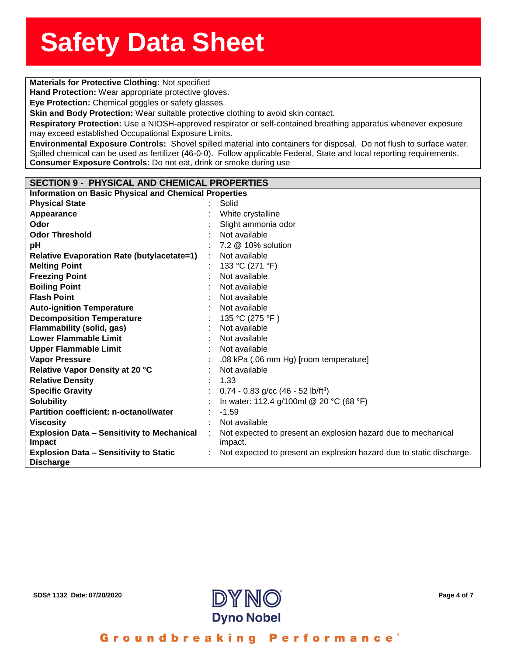### **Solution**<br> **Materials for Protective Clothing:** Not specified

**Hand Protection:** Wear appropriate protective gloves.

**nd Protection:** Wear appro<br>**e Protection:** Chemical gog<br>in and Body Protection: W **Eye Protection:** Chemical goggles or safety glasses.

**Skin and Body Protection:** Wear suitable protective clothing to avoid skin contact.

**Respiratory Protection:** Use a NIOSH-approved respirator or self-contained breathing apparatus whenever exposure may exceed established Occupational Exposure Limits.

**Environmental Exposure Controls:** Shovel spilled material into containers for disposal. Do not flush to surface water. Spilled chemical can be used as fertilizer (46-0-0). Follow applicable Federal, State and local reporting requirements. **Consumer Exposure Controls:** Do not eat, drink or smoke during use

#### **SECTION 9 - PHYSICAL AND CHEMICAL PROPERTIES**

| <b>Information on Basic Physical and Chemical Properties</b> |   |                                                                      |  |  |
|--------------------------------------------------------------|---|----------------------------------------------------------------------|--|--|
| <b>Physical State</b>                                        |   | Solid                                                                |  |  |
| Appearance                                                   |   | White crystalline                                                    |  |  |
| Odor                                                         |   | Slight ammonia odor                                                  |  |  |
| <b>Odor Threshold</b>                                        |   | Not available                                                        |  |  |
| pH                                                           |   | 7.2 @ 10% solution                                                   |  |  |
| <b>Relative Evaporation Rate (butylacetate=1)</b>            | ÷ | Not available                                                        |  |  |
| <b>Melting Point</b>                                         |   | 133 °C (271 °F)                                                      |  |  |
| <b>Freezing Point</b>                                        |   | Not available                                                        |  |  |
| <b>Boiling Point</b>                                         |   | Not available                                                        |  |  |
| <b>Flash Point</b>                                           |   | Not available                                                        |  |  |
| <b>Auto-ignition Temperature</b>                             |   | Not available                                                        |  |  |
| <b>Decomposition Temperature</b>                             |   | 135 °C (275 °F)                                                      |  |  |
| <b>Flammability (solid, gas)</b>                             |   | Not available                                                        |  |  |
| <b>Lower Flammable Limit</b>                                 |   | Not available                                                        |  |  |
| <b>Upper Flammable Limit</b>                                 |   | Not available                                                        |  |  |
| <b>Vapor Pressure</b>                                        |   | .08 kPa (.06 mm Hg) [room temperature]                               |  |  |
| Relative Vapor Density at 20 °C                              |   | Not available                                                        |  |  |
| <b>Relative Density</b>                                      |   | 1.33                                                                 |  |  |
| <b>Specific Gravity</b>                                      |   | $0.74 - 0.83$ g/cc (46 - 52 lb/ft <sup>3</sup> )                     |  |  |
| <b>Solubility</b>                                            |   | In water: 112.4 g/100ml @ 20 °C (68 °F)                              |  |  |
| <b>Partition coefficient: n-octanol/water</b>                |   | $-1.59$                                                              |  |  |
| <b>Viscosity</b>                                             |   | Not available                                                        |  |  |
| <b>Explosion Data - Sensitivity to Mechanical</b>            |   | Not expected to present an explosion hazard due to mechanical        |  |  |
| <b>Impact</b>                                                |   | impact.                                                              |  |  |
| <b>Explosion Data - Sensitivity to Static</b>                |   | Not expected to present an explosion hazard due to static discharge. |  |  |
| <b>Discharge</b>                                             |   |                                                                      |  |  |



Groundbreaking Performance°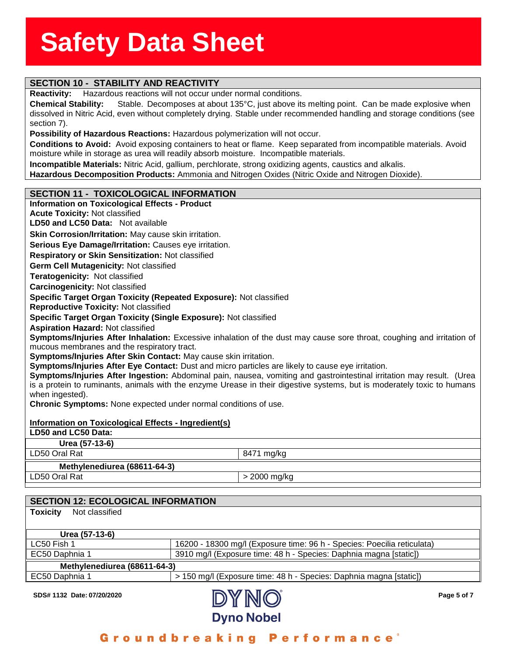### **SECTION 10 - STABILITY AND REACTIVITY**

**Reactivity:** Hazardous reactions will not occur under normal conditions.

**Reactivity:** Hazardous reactions will not occur under normal conditions.<br>**Chemical Stability:** Stable. Decomposes at about 135°C, just above its melting point. Can be made explosive when<br>dissolved in Nitric Aci **Chemical Stability:** Stable. Decomposes at about 135°C, just above its melting point. Can be made explosive when section 7).

**Possibility of Hazardous Reactions:** Hazardous polymerization will not occur.

**Conditions to Avoid:** Avoid exposing containers to heat or flame. Keep separated from incompatible materials. Avoid moisture while in storage as urea will readily absorb moisture. Incompatible materials.

**Incompatible Materials:** Nitric Acid, gallium, perchlorate, strong oxidizing agents, caustics and alkalis.

**Hazardous Decomposition Products:** Ammonia and Nitrogen Oxides (Nitric Oxide and Nitrogen Dioxide).

#### **SECTION 11 - TOXICOLOGICAL INFORMATION**

#### **Information on Toxicological Effects - Product Acute Toxicity:** Not classified **LD50 and LC50 Data:** Not available**Skin Corrosion/Irritation:** May cause skin irritation. **Serious Eye Damage/Irritation:** Causes eye irritation. **Respiratory or Skin Sensitization:** Not classified **Germ Cell Mutagenicity:** Not classified**Teratogenicity:** Not classified**Carcinogenicity:** Not classified **Specific Target Organ Toxicity (Repeated Exposure):** Not classified **Reproductive Toxicity:** Not classified **Specific Target Organ Toxicity (Single Exposure):** Not classified **Aspiration Hazard:** Not classified **Symptoms/Injuries After Inhalation:** Excessive inhalation of the dust may cause sore throat, coughing and irritation of mucous membranes and the respiratory tract. **Symptoms/Injuries After Skin Contact:** May cause skin irritation. **Symptoms/Injuries After Eye Contact:** Dust and micro particles are likely to cause eye irritation. **Symptoms/Injuries After Ingestion:** Abdominal pain, nausea, vomiting and gastrointestinal irritation may result. (Urea is a protein to ruminants, animals with the enzyme Urease in their digestive systems, but is moderately toxic to humans when ingested). **Chronic Symptoms:** None expected under normal conditions of use. **Information on Toxicological Effects - Ingredient(s) LD50 and LC50 Data: Urea (57-13-6)** LD50 Oral Rat 8471 mg/kg **Methylenediurea (68611-64-3)** LD50 Oral Rat  $\vert$  > 2000 mg/kg

| <b>SECTION 12: ECOLOGICAL INFORMATION</b> |                                                                         |  |  |  |
|-------------------------------------------|-------------------------------------------------------------------------|--|--|--|
| <b>Toxicity</b><br>Not classified         |                                                                         |  |  |  |
|                                           |                                                                         |  |  |  |
| Urea (57-13-6)                            |                                                                         |  |  |  |
| LC50 Fish 1                               | 16200 - 18300 mg/l (Exposure time: 96 h - Species: Poecilia reticulata) |  |  |  |
| EC50 Daphnia 1                            | 3910 mg/l (Exposure time: 48 h - Species: Daphnia magna [static])       |  |  |  |
| Methylenediurea (68611-64-3)              |                                                                         |  |  |  |
| EC50 Daphnia 1                            | > 150 mg/l (Exposure time: 48 h - Species: Daphnia magna [static])      |  |  |  |



Groundbreaking Performance'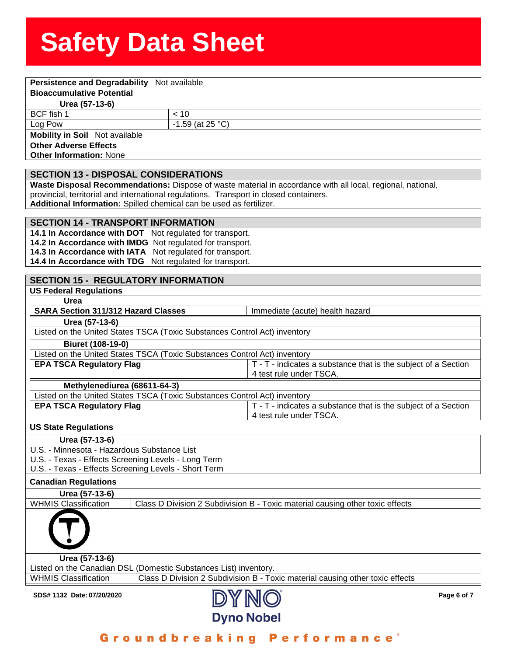| Persistence and Degradability Not available                                                                  |                  |                                                                                                             |  |  |  |
|--------------------------------------------------------------------------------------------------------------|------------------|-------------------------------------------------------------------------------------------------------------|--|--|--|
| <b>Bioaccumulative Potential</b>                                                                             |                  |                                                                                                             |  |  |  |
| Urea (57-13-6)                                                                                               |                  |                                                                                                             |  |  |  |
| BCF fish 1                                                                                                   | < 10             |                                                                                                             |  |  |  |
| Log Pow                                                                                                      | -1.59 (at 25 °C) |                                                                                                             |  |  |  |
| <b>Mobility in Soil</b> Not available                                                                        |                  |                                                                                                             |  |  |  |
| <b>Other Adverse Effects</b>                                                                                 |                  |                                                                                                             |  |  |  |
| <b>Other Information: None</b>                                                                               |                  |                                                                                                             |  |  |  |
| <b>SECTION 13 - DISPOSAL CONSIDERATIONS</b>                                                                  |                  |                                                                                                             |  |  |  |
|                                                                                                              |                  | Waste Disposal Recommendations: Dispose of waste material in accordance with all local, regional, national, |  |  |  |
| provincial, territorial and international regulations. Transport in closed containers.                       |                  |                                                                                                             |  |  |  |
| Additional Information: Spilled chemical can be used as fertilizer.                                          |                  |                                                                                                             |  |  |  |
|                                                                                                              |                  |                                                                                                             |  |  |  |
| <b>SECTION 14 - TRANSPORT INFORMATION</b><br>14.1 In Accordance with DOT Not regulated for transport.        |                  |                                                                                                             |  |  |  |
| 14.2 In Accordance with IMDG Not regulated for transport.                                                    |                  |                                                                                                             |  |  |  |
| 14.3 In Accordance with IATA Not regulated for transport.                                                    |                  |                                                                                                             |  |  |  |
| 14.4 In Accordance with TDG Not regulated for transport.                                                     |                  |                                                                                                             |  |  |  |
|                                                                                                              |                  |                                                                                                             |  |  |  |
| <b>SECTION 15 - REGULATORY INFORMATION</b>                                                                   |                  |                                                                                                             |  |  |  |
| <b>US Federal Regulations</b>                                                                                |                  |                                                                                                             |  |  |  |
| Urea                                                                                                         |                  |                                                                                                             |  |  |  |
| <b>SARA Section 311/312 Hazard Classes</b>                                                                   |                  | Immediate (acute) health hazard                                                                             |  |  |  |
| Urea (57-13-6)                                                                                               |                  |                                                                                                             |  |  |  |
| Listed on the United States TSCA (Toxic Substances Control Act) inventory                                    |                  |                                                                                                             |  |  |  |
| Biuret (108-19-0)                                                                                            |                  |                                                                                                             |  |  |  |
| Listed on the United States TSCA (Toxic Substances Control Act) inventory                                    |                  |                                                                                                             |  |  |  |
| <b>EPA TSCA Regulatory Flag</b>                                                                              |                  | T - T - indicates a substance that is the subject of a Section                                              |  |  |  |
|                                                                                                              |                  | 4 test rule under TSCA.                                                                                     |  |  |  |
| Methylenediurea (68611-64-3)                                                                                 |                  |                                                                                                             |  |  |  |
| Listed on the United States TSCA (Toxic Substances Control Act) inventory                                    |                  |                                                                                                             |  |  |  |
| <b>EPA TSCA Regulatory Flag</b>                                                                              |                  | T - T - indicates a substance that is the subject of a Section<br>4 test rule under TSCA.                   |  |  |  |
| <b>US State Regulations</b>                                                                                  |                  |                                                                                                             |  |  |  |
| Urea (57-13-6)                                                                                               |                  |                                                                                                             |  |  |  |
| U.S. - Minnesota - Hazardous Substance List                                                                  |                  |                                                                                                             |  |  |  |
| U.S. - Texas - Effects Screening Levels - Long Term                                                          |                  |                                                                                                             |  |  |  |
| U.S. - Texas - Effects Screening Levels - Short Term                                                         |                  |                                                                                                             |  |  |  |
| <b>Canadian Regulations</b>                                                                                  |                  |                                                                                                             |  |  |  |
| Urea (57-13-6)                                                                                               |                  |                                                                                                             |  |  |  |
| <b>WHMIS Classification</b>                                                                                  |                  | Class D Division 2 Subdivision B - Toxic material causing other toxic effects                               |  |  |  |
|                                                                                                              |                  |                                                                                                             |  |  |  |
|                                                                                                              |                  |                                                                                                             |  |  |  |
| Urea (57-13-6)                                                                                               |                  |                                                                                                             |  |  |  |
| Listed on the Canadian DSL (Domestic Substances List) inventory.                                             |                  |                                                                                                             |  |  |  |
| <b>WHMIS Classification</b><br>Class D Division 2 Subdivision B - Toxic material causing other toxic effects |                  |                                                                                                             |  |  |  |
| SDS# 1132 Date: 07/20/2020                                                                                   |                  | Page 6 of 7                                                                                                 |  |  |  |
|                                                                                                              |                  | <b>Dyno Nobel</b>                                                                                           |  |  |  |

Groundbreaking Performance<sup>®</sup>